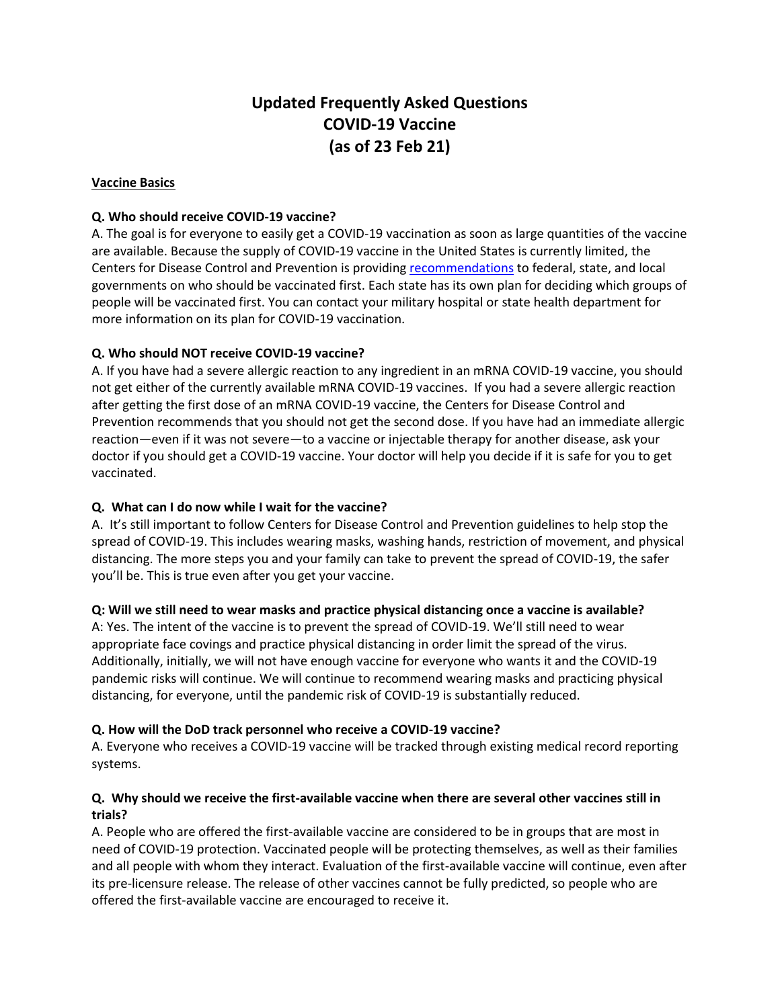# **Updated Frequently Asked Questions COVID-19 Vaccine (as of 23 Feb 21)**

# **Vaccine Basics**

# **Q. Who should receive COVID-19 vaccine?**

A. The goal is for everyone to easily get a COVID-19 vaccination as soon as large quantities of the vaccine are available. Because the supply of COVID-19 vaccine in the United States is currently limited, the Centers for Disease Control and Prevention is providin[g recommendations](https://www.cdc.gov/coronavirus/2019-ncov/vaccines/recommendations.html) to federal, state, and local governments on who should be vaccinated first. Each state has its own plan for deciding which groups of people will be vaccinated first. You can contact your military hospital or state health department for more information on its plan for COVID-19 vaccination.

# **Q. Who should NOT receive COVID-19 vaccine?**

A. If you have had a severe allergic reaction to any ingredient in an mRNA COVID-19 vaccine, you should not get either of the currently available mRNA COVID-19 vaccines. If you had a severe allergic reaction after getting the first dose of an mRNA COVID-19 vaccine, the Centers for Disease Control and Prevention recommends that you should not get the second dose. If you have had an immediate allergic reaction—even if it was not severe—to a vaccine or injectable therapy for another disease, ask your doctor if you should get a COVID-19 vaccine. Your doctor will help you decide if it is safe for you to get vaccinated.

# **Q. What can I do now while I wait for the vaccine?**

A. It's still important to follow Centers for Disease Control and [Prevention](https://www.cdc.gov/coronavirus/2019-ncov/prevent-getting-sick/prevention.html) guidelines to help stop the spread of COVID-19. This includes wearing masks, washing hands, restriction of movement, and physical distancing. The more steps you and your family can take to prevent the spread of COVID-19, the safer you'll be. This is true even after you get your vaccine.

#### **Q: [Will we still need to wear masks and practice physical distancing once a vaccine is available?](javascript:void(0))**

A: Yes. The intent of the vaccine is to prevent the spread of COVID-19. We'll still need to wear appropriate face covings and practice physical distancing in order limit the spread of the virus. Additionally, initially, we will not have enough vaccine for everyone who wants it and the COVID-19 pandemic risks will continue. We will continue to recommend wearing masks and practicing physical distancing, for everyone, until the pandemic risk of COVID-19 is substantially reduced.

#### **Q. How will the DoD track personnel who receive a COVID-19 vaccine?**

A. Everyone who receives a COVID-19 vaccine will be tracked through existing medical record reporting systems.

# **Q. Why should we receive the first-available vaccine when there are several other vaccines still in trials?**

A. People who are offered the first-available vaccine are considered to be in groups that are most in need of COVID-19 protection. Vaccinated people will be protecting themselves, as well as their families and all people with whom they interact. Evaluation of the first-available vaccine will continue, even after its pre-licensure release. The release of other vaccines cannot be fully predicted, so people who are offered the first-available vaccine are encouraged to receive it.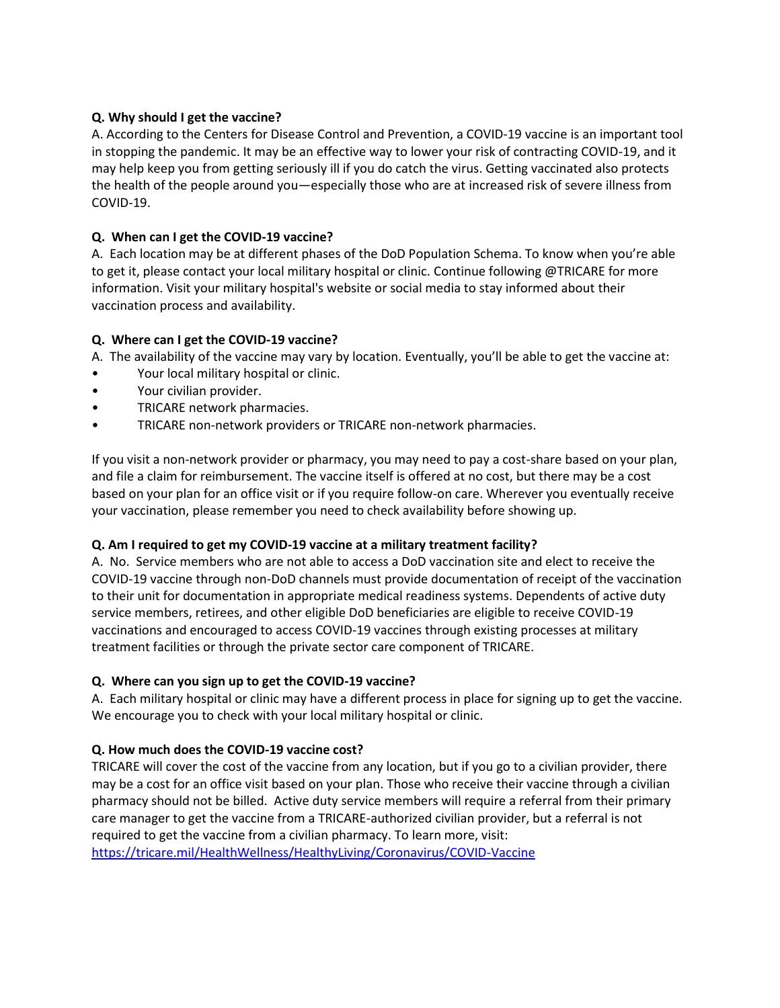# **Q. Why should I get the vaccine?**

A. According to the Centers for Disease Control and [Prevention,](https://www.cdc.gov/coronavirus/2019-ncov/vaccines/vaccine-benefits.html) a COVID-19 vaccine is an important tool in stopping the pandemic. It may be an effective way to lower your risk of contracting COVID-19, and it may help keep you from getting seriously ill if you do catch the virus. Getting vaccinated also protects the health of the people around you—especially those who are at [increased](https://www.cdc.gov/coronavirus/2019-ncov/need-extra-precautions/index.html) risk of severe illness from [COVID-19.](https://www.cdc.gov/coronavirus/2019-ncov/need-extra-precautions/index.html)

# **Q. When can I get the COVID-19 vaccine?**

A.Each location may be at different phases of the DoD Population Schema. To know when you're able to get it, please contact your local military hospital or clinic. Continue following @TRICARE for more information. Visit your military hospital's website or social media to stay informed about their vaccination process and availability.

# **Q. Where can I get the COVID-19 vaccine?**

A.The availability of the vaccine may vary by location. Eventually, you'll be able to get the vaccine at:

- Your local military hospital or clinic.
- Your civilian provider.
- TRICARE network pharmacies.
- TRICARE non-network providers or TRICARE non-network pharmacies.

If you visit a non-network provider or pharmacy, you may need to pay a cost-share based on your plan, and file a claim for reimbursement. The vaccine itself is offered at no cost, but there may be a cost based on your plan for an office visit or if you require follow-on care. Wherever you eventually receive your vaccination, please remember you need to check availability before showing up.

#### **Q. Am I required to get my COVID-19 vaccine at a military treatment facility?**

A. No. Service members who are not able to access a DoD vaccination site and elect to receive the COVID-19 vaccine through non-DoD channels must provide documentation of receipt of the vaccination to their unit for documentation in appropriate medical readiness systems. Dependents of active duty service members, retirees, and other eligible DoD beneficiaries are eligible to receive COVID-19 vaccinations and encouraged to access COVID-19 vaccines through existing processes at military treatment facilities or through the private sector care component of TRICARE.

#### **Q. Where can you sign up to get the COVID-19 vaccine?**

A. Each military hospital or clinic may have a different process in place for signing up to get the vaccine. We encourage you to check with your local military hospital or clinic.

#### **Q. How much does the COVID-19 vaccine cost?**

TRICARE will cover the cost of the vaccine from any location, but if you go to a civilian provider, there may be a cost for an office visit based on your plan. Those who receive their vaccine through a civilian pharmacy should not be billed. Active duty service members will require a referral from their primary care manager to get the vaccine from a TRICARE-authorized civilian provider, but a referral is not required to get the vaccine from a civilian pharmacy. To learn more, visit:

<https://tricare.mil/HealthWellness/HealthyLiving/Coronavirus/COVID-Vaccine>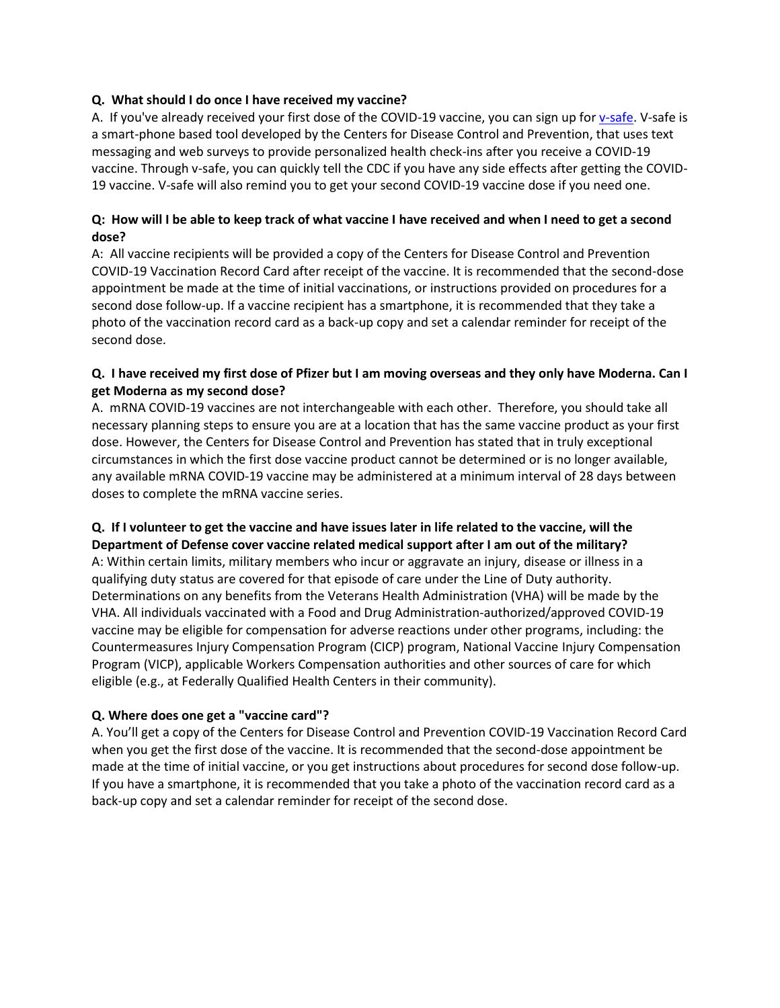# **Q. What should I do once I have received my vaccine?**

A. If you've already received your first dose of the COVID-19 vaccine, you can sign up fo[r v-safe.](https://www.cdc.gov/coronavirus/2019-ncov/vaccines/safety/vsafe.html) V-safe is a smart-phone based tool developed by the Centers for Disease Control and Prevention, that uses text messaging and web surveys to provide personalized health check-ins after you receive a COVID-19 vaccine. Through v-safe, you can quickly tell the CDC if you have any side effects after getting the COVID-19 vaccine. V-safe will also remind you to get your second COVID-19 vaccine dose if you need one.

# **Q: [How will I be able to keep track of what vaccine I](javascript:void(0)) have received and when I need to get a second [dose?](javascript:void(0))**

A: All vaccine recipients will be provided a copy of the Centers for Disease Control and Prevention COVID-19 Vaccination Record Card after receipt of the vaccine. It is recommended that the second-dose appointment be made at the time of initial vaccinations, or instructions provided on procedures for a second dose follow-up. If a vaccine recipient has a smartphone, it is recommended that they take a photo of the vaccination record card as a back-up copy and set a calendar reminder for receipt of the second dose.

# **Q. I have received my first dose of Pfizer but I am moving overseas and they only have Moderna. Can I get Moderna as my second dose?**

A. mRNA COVID-19 vaccines are not interchangeable with each other. Therefore, you should take all necessary planning steps to ensure you are at a location that has the same vaccine product as your first dose. However, the Centers for Disease Control and Prevention has stated that in truly exceptional circumstances in which the first dose vaccine product cannot be determined or is no longer available, any available mRNA COVID-19 vaccine may be administered at a minimum interval of 28 days between doses to complete the mRNA vaccine series.

# **Q. If I volunteer to get the vaccine and have issues later in life related to the vaccine, will the**

**Department of Defense cover vaccine related medical support after I am out of the military?** A: Within certain limits, military members who incur or aggravate an injury, disease or illness in a qualifying duty status are covered for that episode of care under the Line of Duty authority. Determinations on any benefits from the Veterans Health Administration (VHA) will be made by the VHA. All individuals vaccinated with a Food and Drug Administration-authorized/approved COVID-19 vaccine may be eligible for compensation for adverse reactions under other programs, including: the Countermeasures Injury Compensation Program (CICP) program, National Vaccine Injury Compensation Program (VICP), applicable Workers Compensation authorities and other sources of care for which eligible (e.g., at Federally Qualified Health Centers in their community).

# **Q. Where does one get a "vaccine card"?**

A. You'll get a copy of the Centers for Disease Control and Prevention COVID-19 Vaccination Record Card when you get the first dose of the vaccine. It is recommended that the second-dose appointment be made at the time of initial vaccine, or you get instructions about procedures for second dose follow-up. If you have a smartphone, it is recommended that you take a photo of the vaccination record card as a back-up copy and set a calendar reminder for receipt of the second dose.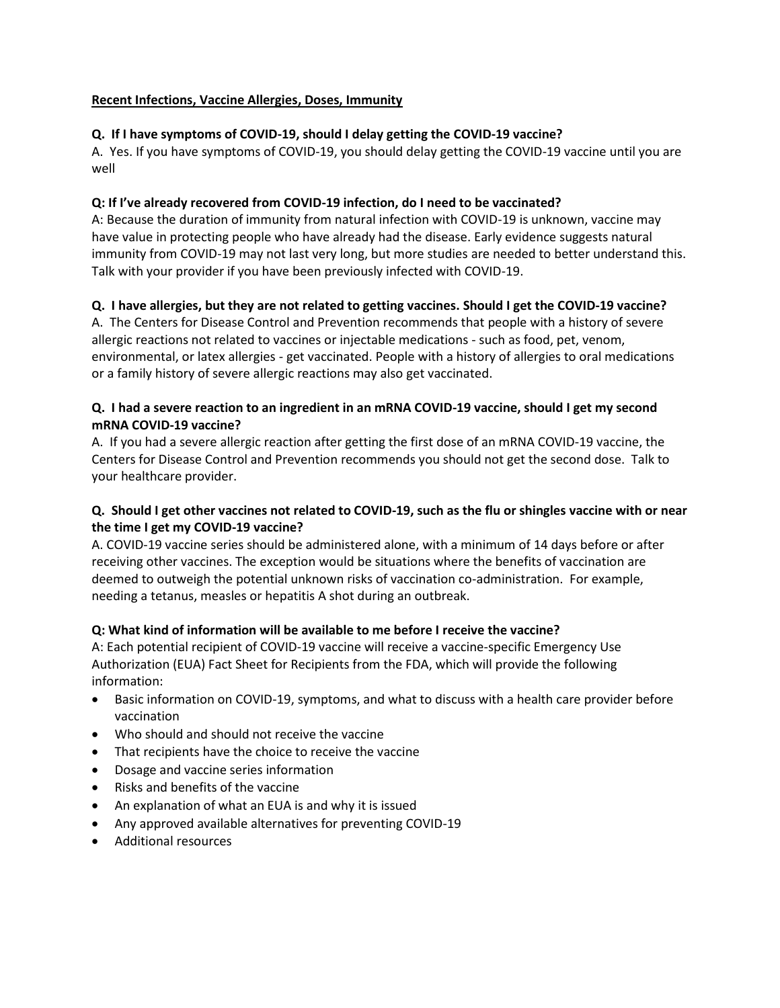# **Recent Infections, Vaccine Allergies, Doses, Immunity**

# **Q. If I have symptoms of COVID-19, should I delay getting the COVID-19 vaccine?**

A. Yes. If you have symptoms of COVID-19, you should delay getting the COVID-19 vaccine until you are well

#### **Q: If I've already recovered from COVID[-19 infection, do I need to be vaccinated?](javascript:void(0))**

A: Because the duration of immunity from natural infection with COVID-19 is unknown, vaccine may have value in protecting people who have already had the disease. Early evidence suggests natural immunity from COVID-19 may not last very long, but more studies are needed to better understand this. Talk with your provider if you have been previously infected with COVID-19.

# **Q. I have allergies, but they are not related to getting vaccines. Should I get the COVID-19 vaccine?**

A. The Centers for Disease Control and Prevention recommends that people with a history of severe allergic reactions not related to vaccines or injectable medications - such as food, pet, venom, environmental, or latex allergies - get vaccinated. People with a history of allergies to oral medications or a family history of severe allergic reactions may also get vaccinated.

# **Q. I had a severe reaction to an ingredient in an mRNA COVID-19 vaccine, should I get my second mRNA COVID-19 vaccine?**

A. If you had a severe allergic reaction after getting the first dose of an mRNA COVID-19 vaccine, the Centers for Disease Control and Prevention recommends you should not get the second dose. Talk to your healthcare provider.

# **Q. Should I get other vaccines not related to COVID-19, such as the flu or shingles vaccine with or near the time I get my COVID-19 vaccine?**

A. COVID-19 vaccine series should be administered alone, with a minimum of 14 days before or after receiving other vaccines. The exception would be situations where the benefits of vaccination are deemed to outweigh the potential unknown risks of vaccination co-administration. For example, needing a tetanus, measles or hepatitis A shot during an outbreak.

# **Q: What kind of information will be available to me before I receive the vaccine?**

A: Each potential recipient of COVID-19 vaccine will receive a vaccine-specific Emergency Use Authorization (EUA) Fact Sheet for Recipients from the FDA, which will provide the following information:

- Basic information on COVID-19, symptoms, and what to discuss with a health care provider before vaccination
- Who should and should not receive the vaccine
- That recipients have the choice to receive the vaccine
- Dosage and vaccine series information
- Risks and benefits of the vaccine
- An explanation of what an EUA is and why it is issued
- Any approved available alternatives for preventing COVID-19
- Additional resources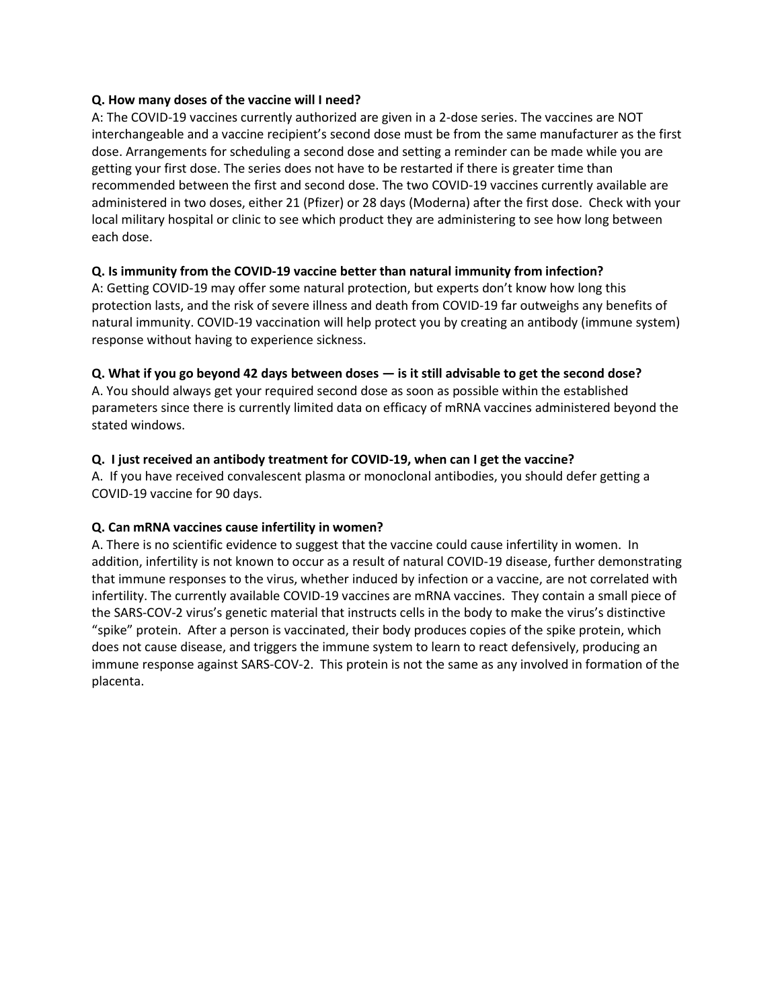#### **Q. [How many doses of the vaccine will I need?](javascript:void(0))**

A: The COVID-19 vaccines currently authorized are given in a 2-dose series. The vaccines are NOT interchangeable and a vaccine recipient's second dose must be from the same manufacturer as the first dose. Arrangements for scheduling a second dose and setting a reminder can be made while you are getting your first dose. The series does not have to be restarted if there is greater time than recommended between the first and second dose. The two COVID-19 vaccines currently available are administered in two doses, either 21 (Pfizer) or 28 days (Moderna) after the first dose. Check with your local military hospital or clinic to see which product they are administering to see how long between each dose.

# **Q. [Is immunity from the COVID-19 vaccine better than natural immunity from infection?](javascript:void(0))**

A: Getting COVID-19 may offer some natural protection, but experts don't know how long this protection lasts, and the risk of severe illness and death from COVID-19 far outweighs any benefits of natural immunity. COVID-19 vaccination will help protect you by creating an antibody (immune system) response without having to experience sickness.

# **Q. What if you go beyond 42 days between doses — is it still advisable to get the second dose?**

A. You should always get your required second dose as soon as possible within the established parameters since there is currently limited data on efficacy of mRNA vaccines administered beyond the stated windows.

# **Q. I just received an antibody treatment for COVID-19, when can I get the vaccine?**

A. If you have received convalescent plasma or monoclonal antibodies, you should defer getting a COVID-19 vaccine for 90 days.

# **Q. Can mRNA vaccines cause infertility in women?**

A. There is no scientific evidence to suggest that the vaccine could cause infertility in women. In addition, infertility is not known to occur as a result of natural COVID-19 disease, further demonstrating that immune responses to the virus, whether induced by infection or a vaccine, are not correlated with infertility. The currently available COVID-19 vaccines are mRNA vaccines. They contain a small piece of the SARS-COV-2 virus's genetic material that instructs cells in the body to make the virus's distinctive "spike" protein. After a person is vaccinated, their body produces copies of the spike protein, which does not cause disease, and triggers the immune system to learn to react defensively, producing an immune response against SARS-COV-2. This protein is not the same as any involved in formation of the placenta.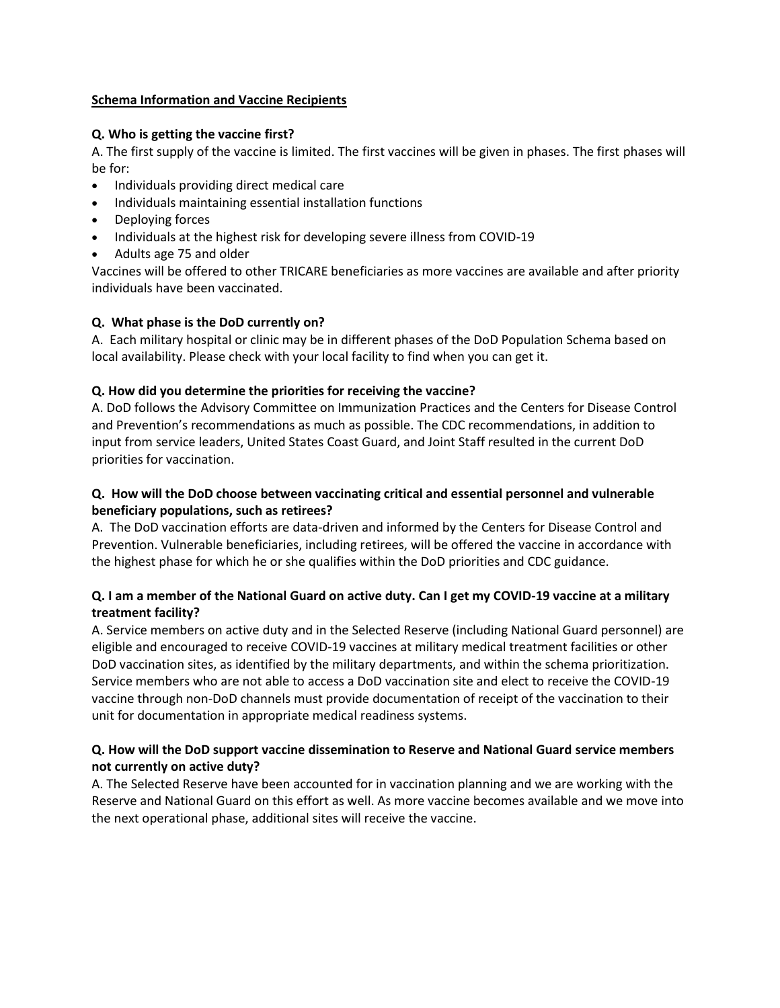#### **Schema Information and Vaccine Recipients**

# **Q. Who is getting the vaccine first?**

A. The first supply of the vaccine is limited. The first vaccines will be given in phases. The first phases will be for:

- Individuals providing direct medical care
- Individuals maintaining essential installation functions
- Deploying forces
- Individuals at the highest risk for developing severe illness from COVID-19
- Adults age 75 and older

Vaccines will be offered to other TRICARE beneficiaries as more vaccines are available and after priority individuals have been vaccinated.

# **Q. What phase is the DoD currently on?**

A. Each military hospital or clinic may be in different phases of the DoD Population Schema based on local availability. Please check with your local facility to find when you can get it.

# **Q. How did you determine the priorities for receiving the vaccine?**

A. DoD follows the Advisory Committee on Immunization Practices and the Centers for Disease Control and Prevention's recommendations as much as possible. The CDC recommendations, in addition to input from service leaders, United States Coast Guard, and Joint Staff resulted in the current DoD priorities for vaccination.

# **Q. How will the DoD choose between vaccinating critical and essential personnel and vulnerable beneficiary populations, such as retirees?**

A. The DoD vaccination efforts are data-driven and informed by the Centers for Disease Control and Prevention. Vulnerable beneficiaries, including retirees, will be offered the vaccine in accordance with the highest phase for which he or she qualifies within the DoD priorities and CDC guidance.

# **Q. I am a member of the National Guard on active duty. Can I get my COVID-19 vaccine at a military treatment facility?**

A. Service members on active duty and in the Selected Reserve (including National Guard personnel) are eligible and encouraged to receive COVID-19 vaccines at military medical treatment facilities or other DoD vaccination sites, as identified by the military departments, and within the schema prioritization. Service members who are not able to access a DoD vaccination site and elect to receive the COVID-19 vaccine through non-DoD channels must provide documentation of receipt of the vaccination to their unit for documentation in appropriate medical readiness systems.

# **Q. How will the DoD support vaccine dissemination to Reserve and National Guard service members not currently on active duty?**

A. The Selected Reserve have been accounted for in vaccination planning and we are working with the Reserve and National Guard on this effort as well. As more vaccine becomes available and we move into the next operational phase, additional sites will receive the vaccine.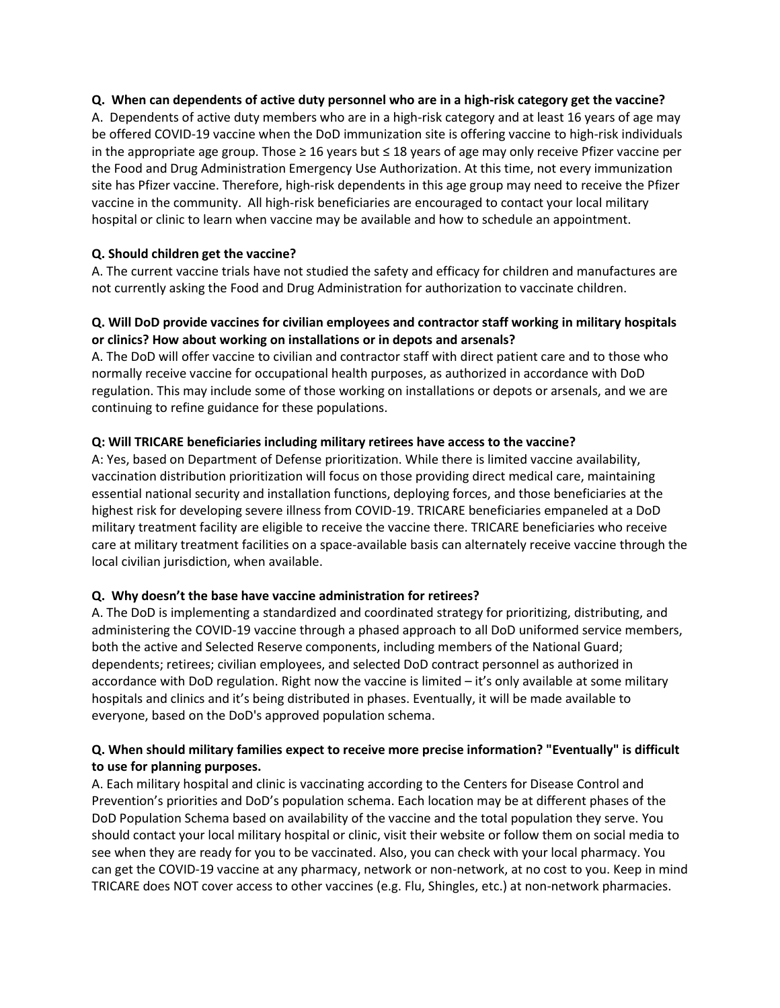#### **Q. When can dependents of active duty personnel who are in a high-risk category get the vaccine?**

A. Dependents of active duty members who are in a high-risk category and at least 16 years of age may be offered COVID-19 vaccine when the DoD immunization site is offering vaccine to high-risk individuals in the appropriate age group. Those ≥ 16 years but ≤ 18 years of age may only receive Pfizer vaccine per the Food and Drug Administration Emergency Use Authorization. At this time, not every immunization site has Pfizer vaccine. Therefore, high-risk dependents in this age group may need to receive the Pfizer vaccine in the community. All high-risk beneficiaries are encouraged to contact your local military hospital or clinic to learn when vaccine may be available and how to schedule an appointment.

#### **Q. Should children get the vaccine?**

A. The current vaccine trials have not studied the safety and efficacy for children and manufactures are not currently asking the Food and Drug Administration for authorization to vaccinate children.

#### **Q. Will DoD provide vaccines for civilian employees and contractor staff working in military hospitals or clinics? How about working on installations or in depots and arsenals?**

A. The DoD will offer vaccine to civilian and contractor staff with direct patient care and to those who normally receive vaccine for occupational health purposes, as authorized in accordance with DoD regulation. This may include some of those working on installations or depots or arsenals, and we are continuing to refine guidance for these populations.

#### **Q: Will TRICARE beneficiaries including military retirees have access to the vaccine?**

A: Yes, based on Department of Defense prioritization. While there is limited vaccine availability, vaccination distribution prioritization will focus on those providing direct medical care, maintaining essential national security and installation functions, deploying forces, and those beneficiaries at the highest risk for developing severe illness from COVID-19. TRICARE beneficiaries empaneled at a DoD military treatment facility are eligible to receive the vaccine there. TRICARE beneficiaries who receive care at military treatment facilities on a space-available basis can alternately receive vaccine through the local civilian jurisdiction, when available.

#### **Q. Why doesn't the base have vaccine administration for retirees?**

A. The DoD is implementing a standardized and coordinated strategy for prioritizing, distributing, and administering the COVID-19 vaccine through a phased approach to all DoD uniformed service members, both the active and Selected Reserve components, including members of the National Guard; dependents; retirees; civilian employees, and selected DoD contract personnel as authorized in accordance with DoD regulation. Right now the vaccine is limited – it's only available at some military hospitals and clinics and it's being distributed in phases. Eventually, it will be made available to everyone, based on the DoD's approved population schema.

# **Q. When should military families expect to receive more precise information? "Eventually" is difficult to use for planning purposes.**

A. Each military hospital and clinic is vaccinating according to the Centers for Disease Control and Prevention's priorities and DoD's population schema. Each location may be at different phases of the DoD Population Schema based on availability of the vaccine and the total population they serve. You should contact your local military hospital or clinic, visit their website or follow them on social media to see when they are ready for you to be vaccinated. Also, you can check with your local pharmacy. You can get the COVID-19 vaccine at any pharmacy, network or non-network, at no cost to you. Keep in mind TRICARE does NOT cover access to other vaccines (e.g. Flu, Shingles, etc.) at non-network pharmacies.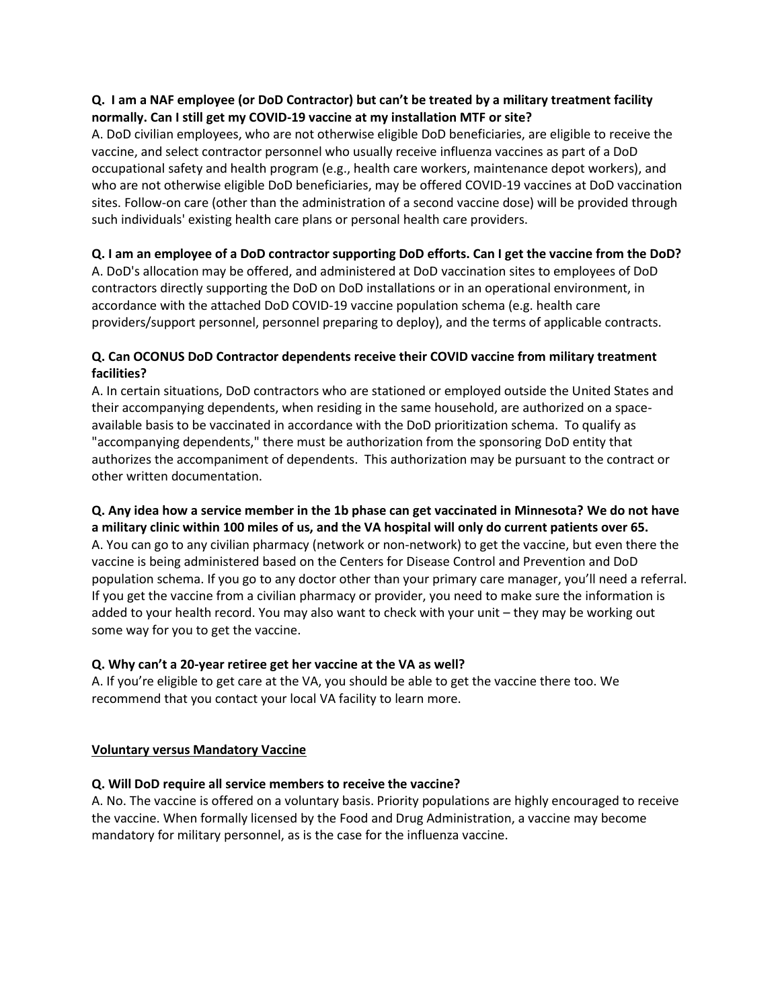# **Q. I am a NAF employee (or DoD Contractor) but can't be treated by a military treatment facility normally. Can I still get my COVID-19 vaccine at my installation MTF or site?**

A. DoD civilian employees, who are not otherwise eligible DoD beneficiaries, are eligible to receive the vaccine, and select contractor personnel who usually receive influenza vaccines as part of a DoD occupational safety and health program (e.g., health care workers, maintenance depot workers), and who are not otherwise eligible DoD beneficiaries, may be offered COVID-19 vaccines at DoD vaccination sites. Follow-on care (other than the administration of a second vaccine dose) will be provided through such individuals' existing health care plans or personal health care providers.

# **Q. I am an employee of a DoD contractor supporting DoD efforts. Can I get the vaccine from the DoD?**

A. DoD's allocation may be offered, and administered at DoD vaccination sites to employees of DoD contractors directly supporting the DoD on DoD installations or in an operational environment, in accordance with the attached DoD COVID-19 vaccine population schema (e.g. health care providers/support personnel, personnel preparing to deploy), and the terms of applicable contracts.

# **Q. Can OCONUS DoD Contractor dependents receive their COVID vaccine from military treatment facilities?**

A. In certain situations, DoD contractors who are stationed or employed outside the United States and their accompanying dependents, when residing in the same household, are authorized on a spaceavailable basis to be vaccinated in accordance with the DoD prioritization schema. To qualify as "accompanying dependents," there must be authorization from the sponsoring DoD entity that authorizes the accompaniment of dependents. This authorization may be pursuant to the contract or other written documentation.

#### **Q. Any idea how a service member in the 1b phase can get vaccinated in Minnesota? We do not have a military clinic within 100 miles of us, and the VA hospital will only do current patients over 65.**

A. You can go to any civilian pharmacy (network or non-network) to get the vaccine, but even there the vaccine is being administered based on the Centers for Disease Control and Prevention and DoD population schema. If you go to any doctor other than your primary care manager, you'll need a referral. If you get the vaccine from a civilian pharmacy or provider, you need to make sure the information is added to your health record. You may also want to check with your unit – they may be working out some way for you to get the vaccine.

# **Q. Why can't a 20-year retiree get her vaccine at the VA as well?**

A. If you're eligible to get care at the VA, you should be able to get the vaccine there too. We recommend that you contact your local VA facility to learn more.

# **Voluntary versus Mandatory Vaccine**

# **Q. Will DoD require all service members to receive the vaccine?**

A. No. The vaccine is offered on a voluntary basis. Priority populations are highly encouraged to receive the vaccine. When formally licensed by the Food and Drug Administration, a vaccine may become mandatory for military personnel, as is the case for the influenza vaccine.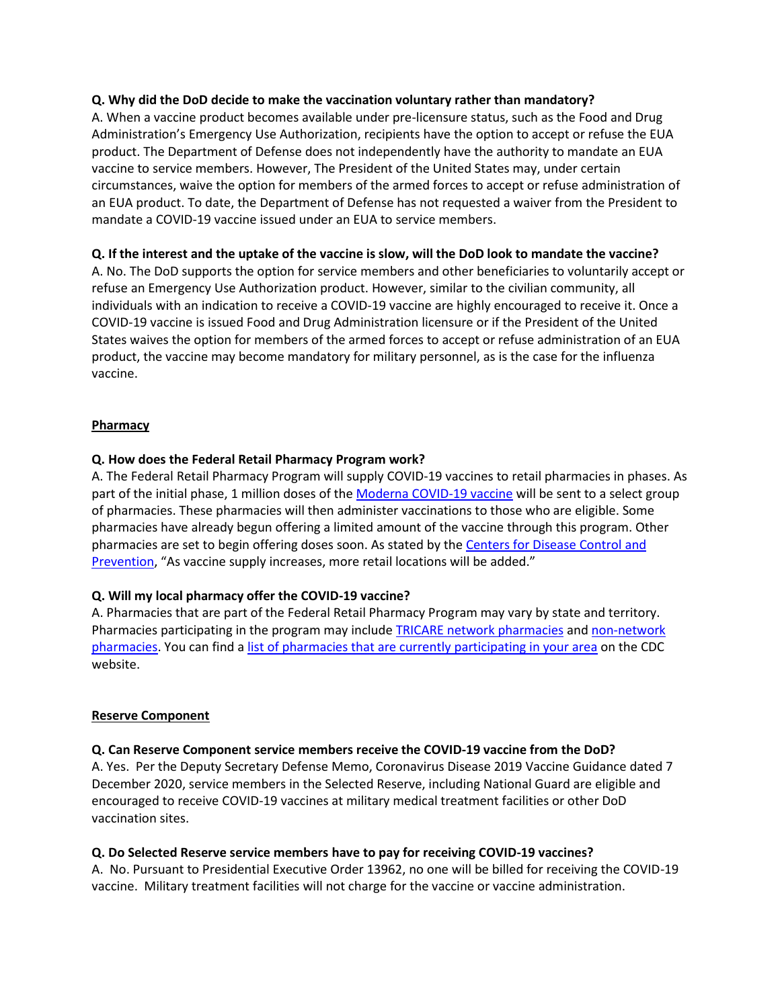#### **Q. Why did the DoD decide to make the vaccination voluntary rather than mandatory?**

A. When a vaccine product becomes available under pre-licensure status, such as the Food and Drug Administration's Emergency Use Authorization, recipients have the option to accept or refuse the EUA product. The Department of Defense does not independently have the authority to mandate an EUA vaccine to service members. However, The President of the United States may, under certain circumstances, waive the option for members of the armed forces to accept or refuse administration of an EUA product. To date, the Department of Defense has not requested a waiver from the President to mandate a COVID-19 vaccine issued under an EUA to service members.

#### **Q. If the interest and the uptake of the vaccine is slow, will the DoD look to mandate the vaccine?**

A. No. The DoD supports the option for service members and other beneficiaries to voluntarily accept or refuse an Emergency Use Authorization product. However, similar to the civilian community, all individuals with an indication to receive a COVID-19 vaccine are highly encouraged to receive it. Once a COVID-19 vaccine is issued Food and Drug Administration licensure or if the President of the United States waives the option for members of the armed forces to accept or refuse administration of an EUA product, the vaccine may become mandatory for military personnel, as is the case for the influenza vaccine.

#### **Pharmacy**

#### **Q. How does the Federal Retail Pharmacy Program work?**

A. The Federal Retail Pharmacy Program will supply COVID-19 vaccines to retail pharmacies in phases. As part of the initial phase, 1 million doses of the Moderna [COVID-19](https://www.fda.gov/emergency-preparedness-and-response/coronavirus-disease-2019-covid-19/moderna-covid-19-vaccine) vaccine will be sent to a select group of pharmacies. These pharmacies will then administer vaccinations to those who are eligible. Some pharmacies have already begun offering a limited amount of the vaccine through this program. Other pharmacies are set to begin offering doses soon. As stated by the [Centers](https://www.cdc.gov/vaccines/covid-19/retail-pharmacy-program/faqs.html) for Disease Control and [Prevention,](https://www.cdc.gov/vaccines/covid-19/retail-pharmacy-program/faqs.html) "As vaccine supply increases, more retail locations will be added."

#### **Q. Will my local pharmacy offer the COVID-19 vaccine?**

A. Pharmacies that are part of the Federal Retail Pharmacy Program may vary by state and territory. Pharmacies participating in the program may includ[e TRICARE network pharmacies](https://militaryrx.express-scripts.com/find-pharmacy) and non-network [pharmacies.](https://www.tricare.mil/nonnetworkpharmacy) You can find a [list of pharmacies that are currently participating in your area](https://www.cdc.gov/vaccines/covid-19/retail-pharmacy-program/participating-pharmacies.html) on the CDC website.

#### **Reserve Component**

#### **Q. Can Reserve Component service members receive the COVID-19 vaccine from the DoD?**

A. Yes. Per the Deputy Secretary Defense Memo, Coronavirus Disease 2019 Vaccine Guidance dated 7 December 2020, service members in the Selected Reserve, including National Guard are eligible and encouraged to receive COVID-19 vaccines at military medical treatment facilities or other DoD vaccination sites.

#### **Q. Do Selected Reserve service members have to pay for receiving COVID-19 vaccines?**

A. No. Pursuant to Presidential Executive Order 13962, no one will be billed for receiving the COVID-19 vaccine. Military treatment facilities will not charge for the vaccine or vaccine administration.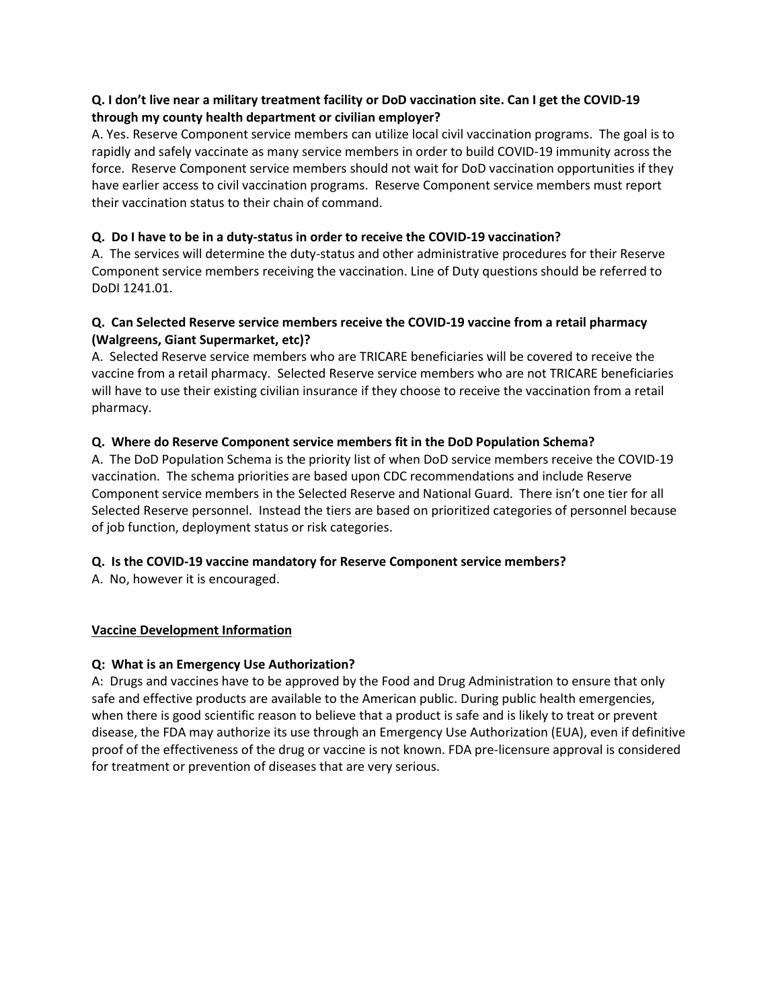# **Q. I don't live near a military treatment facility or DoD vaccination site. Can I get the COVID-19 through my county health department or civilian employer?**

A. Yes. Reserve Component service members can utilize local civil vaccination programs. The goal is to rapidly and safely vaccinate as many service members in order to build COVID-19 immunity across the force. Reserve Component service members should not wait for DoD vaccination opportunities if they have earlier access to civil vaccination programs. Reserve Component service members must report their vaccination status to their chain of command.

# **Q. Do I have to be in a duty-status in order to receive the COVID-19 vaccination?**

A. The services will determine the duty-status and other administrative procedures for their Reserve Component service members receiving the vaccination. Line of Duty questions should be referred to DoDI 1241.01.

# **Q. Can Selected Reserve service members receive the COVID-19 vaccine from a retail pharmacy (Walgreens, Giant Supermarket, etc)?**

A. Selected Reserve service members who are TRICARE beneficiaries will be covered to receive the vaccine from a retail pharmacy. Selected Reserve service members who are not TRICARE beneficiaries will have to use their existing civilian insurance if they choose to receive the vaccination from a retail pharmacy.

# **Q. Where do Reserve Component service members fit in the DoD Population Schema?**

A. The DoD Population Schema is the priority list of when DoD service members receive the COVID-19 vaccination. The schema priorities are based upon CDC recommendations and include Reserve Component service members in the Selected Reserve and National Guard. There isn't one tier for all Selected Reserve personnel. Instead the tiers are based on prioritized categories of personnel because of job function, deployment status or risk categories.

# **Q. Is the COVID-19 vaccine mandatory for Reserve Component service members?**

A. No, however it is encouraged.

#### **Vaccine Development Information**

#### **Q: [What is an Emergency Use Authorization?](javascript:void(0))**

A: Drugs and vaccines have to be approved by the Food and Drug Administration to ensure that only safe and effective products are available to the American public. During public health emergencies, when there is good scientific reason to believe that a product is safe and is likely to treat or prevent disease, the FDA may authorize its use through an Emergency Use Authorization (EUA), even if definitive proof of the effectiveness of the drug or vaccine is not known. FDA pre-licensure approval is considered for treatment or prevention of diseases that are very serious.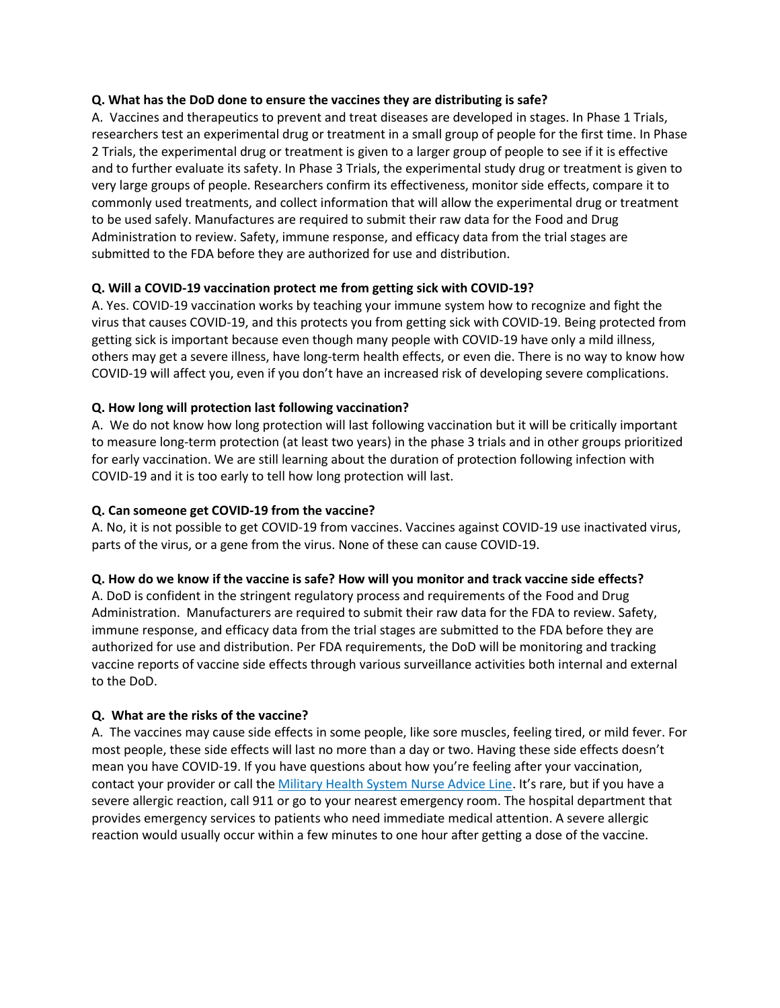#### **Q. What has the DoD done to ensure the vaccines they are distributing is safe?**

A. Vaccines and therapeutics to prevent and treat diseases are developed in stages. In Phase 1 Trials, researchers test an experimental drug or treatment in a small group of people for the first time. In Phase 2 Trials, the experimental drug or treatment is given to a larger group of people to see if it is effective and to further evaluate its safety. In Phase 3 Trials, the experimental study drug or treatment is given to very large groups of people. Researchers confirm its effectiveness, monitor side effects, compare it to commonly used treatments, and collect information that will allow the experimental drug or treatment to be used safely. Manufactures are required to submit their raw data for the Food and Drug Administration to review. Safety, immune response, and efficacy data from the trial stages are submitted to the FDA before they are authorized for use and distribution.

# **Q. Will a COVID-19 vaccination protect me from getting sick with COVID-19?**

A. Yes. COVID-19 vaccination works by teaching your immune system how to recognize and fight the virus that causes COVID-19, and this protects you from getting sick with COVID-19. Being protected from getting sick is important because even though many people with COVID-19 have only a mild illness, others may get a severe illness, have long-term health effects, or even die. There is no way to know how COVID-19 will affect you, even if you don't have an increased risk of developing severe complications.

# **Q. How long will protection last following vaccination?**

A. We do not know how long protection will last following vaccination but it will be critically important to measure long-term protection (at least two years) in the phase 3 trials and in other groups prioritized for early vaccination. We are still learning about the duration of protection following infection with COVID-19 and it is too early to tell how long protection will last.

# **Q. Can someone get COVID-19 from the vaccine?**

A. No, it is not possible to get COVID-19 from vaccines. Vaccines against COVID-19 use inactivated virus, parts of the virus, or a gene from the virus. None of these can cause COVID-19.

#### **Q. How do we know if the vaccine is safe? How will you monitor and track vaccine side effects?**

A. DoD is confident in the stringent regulatory process and requirements of the Food and Drug Administration. Manufacturers are required to submit their raw data for the FDA to review. Safety, immune response, and efficacy data from the trial stages are submitted to the FDA before they are authorized for use and distribution. Per FDA requirements, the DoD will be monitoring and tracking vaccine reports of vaccine side effects through various surveillance activities both internal and external to the DoD.

# **Q. What are the risks of the vaccine?**

A. The vaccines may cause side effects in some people, like sore muscles, feeling tired, or mild fever. For most people, these side effects will last no more than a day or two. Having these side effects doesn't mean you have COVID-19. If you have questions about how you're feeling after your vaccination, contact your provider or call the [Military](https://tricare.mil/ContactUs/CallUs/NAL) Health System Nurse Advice Line. It's rare, but if you have a severe allergic reaction, call 911 or go to your nearest emergency room. The hospital department that provides emergency services to patients who need immediate medical attention. A severe allergic reaction would usually occur within a few minutes to one hour after getting a dose of the vaccine.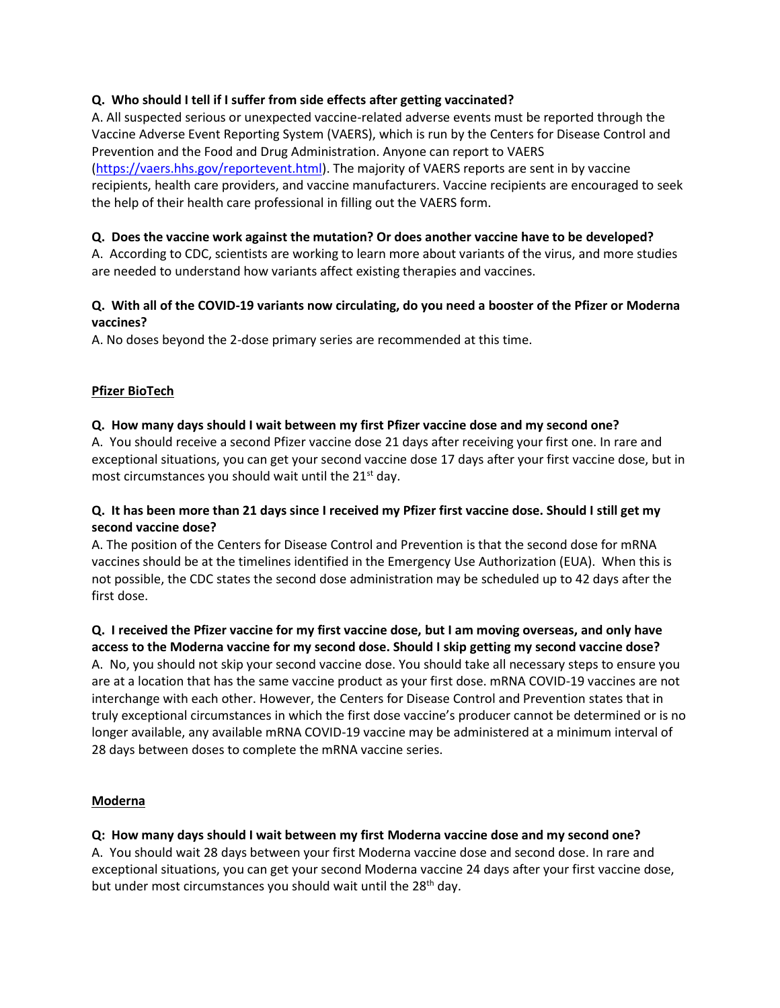# **Q. Who should I tell if I suffer from side effects after getting vaccinated?**

A. All suspected serious or unexpected vaccine-related adverse events must be reported through the Vaccine Adverse Event Reporting System (VAERS), which is run by the Centers for Disease Control and Prevention and the Food and Drug Administration. Anyone can report to VAERS [\(https://vaers.hhs.gov/reportevent.html\)](https://vaers.hhs.gov/reportevent.html). The majority of VAERS reports are sent in by vaccine recipients, health care providers, and vaccine manufacturers. Vaccine recipients are encouraged to seek the help of their health care professional in filling out the VAERS form.

#### **Q. Does the vaccine work against the mutation? Or does another vaccine have to be developed?**

A. According to CDC, scientists are working to learn more about variants of the virus, and more studies are needed to understand how variants affect existing therapies and vaccines.

# **Q. With all of the COVID-19 variants now circulating, do you need a booster of the Pfizer or Moderna vaccines?**

A. No doses beyond the 2-dose primary series are recommended at this time.

# **Pfizer BioTech**

# **Q. How many days should I wait between my first Pfizer vaccine dose and my second one?**

A. You should receive a second Pfizer vaccine dose 21 days after receiving your first one. In rare and exceptional situations, you can get your second vaccine dose 17 days after your first vaccine dose, but in most circumstances you should wait until the 21<sup>st</sup> day.

# **Q. It has been more than 21 days since I received my Pfizer first vaccine dose. Should I still get my second vaccine dose?**

A. The position of the Centers for Disease Control and Prevention is that the second dose for mRNA vaccines should be at the timelines identified in the Emergency Use Authorization (EUA). When this is not possible, the CDC states the second dose administration may be scheduled up to 42 days after the first dose.

# **Q. I received the Pfizer vaccine for my first vaccine dose, but I am moving overseas, and only have**

**access to the Moderna vaccine for my second dose. Should I skip getting my second vaccine dose?** A. No, you should not skip your second vaccine dose. You should take all necessary steps to ensure you are at a location that has the same vaccine product as your first dose. mRNA COVID-19 vaccines are not interchange with each other. However, the Centers for Disease Control and Prevention states that in truly exceptional circumstances in which the first dose vaccine's producer cannot be determined or is no longer available, any available mRNA COVID-19 vaccine may be administered at a minimum interval of 28 days between doses to complete the mRNA vaccine series.

#### **Moderna**

# **Q: How many days should I wait between my first Moderna vaccine dose and my second one?**

A. You should wait 28 days between your first Moderna vaccine dose and second dose. In rare and exceptional situations, you can get your second Moderna vaccine 24 days after your first vaccine dose, but under most circumstances you should wait until the 28<sup>th</sup> day.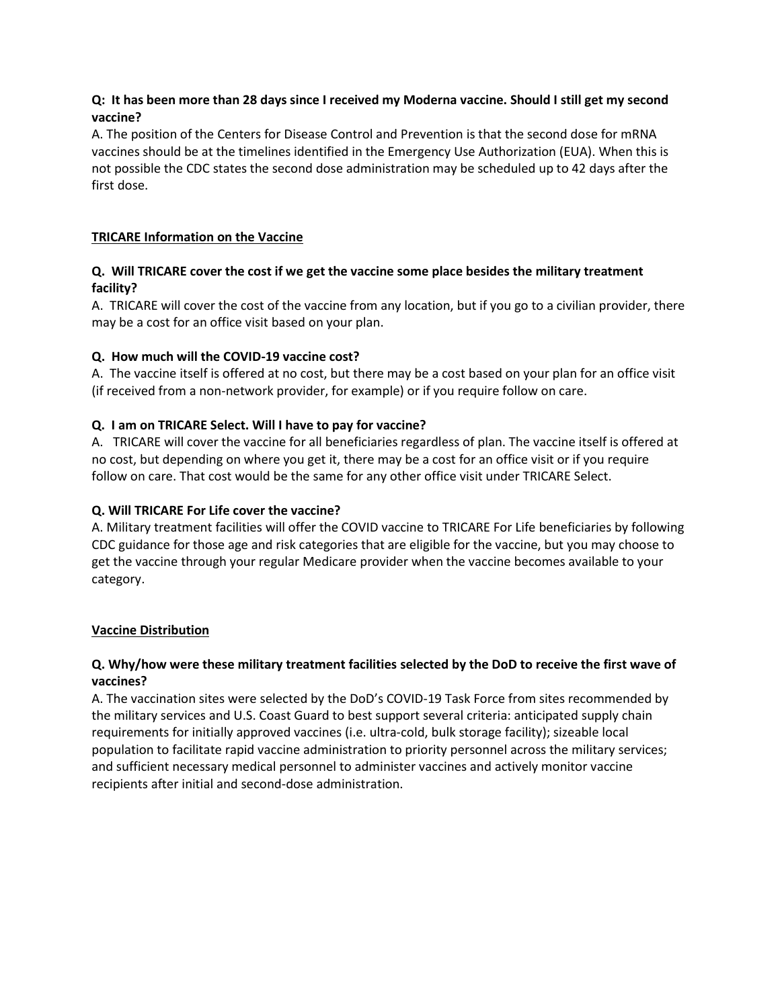# **Q: It has been more than 28 days since I received my Moderna vaccine. Should I still get my second vaccine?**

A. The position of the Centers for Disease Control and Prevention is that the second dose for mRNA vaccines should be at the timelines identified in the Emergency Use Authorization (EUA). When this is not possible the CDC states the second dose administration may be scheduled up to 42 days after the first dose.

# **TRICARE Information on the Vaccine**

# **Q. Will TRICARE cover the cost if we get the vaccine some place besides the military treatment facility?**

A. TRICARE will cover the cost of the vaccine from any location, but if you go to a civilian provider, there may be a cost for an office visit based on your plan.

# **Q. How much will the COVID-19 vaccine cost?**

A. The vaccine itself is offered at no cost, but there may be a cost based on your plan for an office visit (if received from a non-network provider, for example) or if you require follow on care.

# **Q. I am on TRICARE Select. Will I have to pay for vaccine?**

A.TRICARE will cover the vaccine for all beneficiaries regardless of plan. The vaccine itself is offered at no cost, but depending on where you get it, there may be a cost for an office visit or if you require follow on care. That cost would be the same for any other office visit under TRICARE Select.

#### **Q. Will TRICARE For Life cover the vaccine?**

A. Military treatment facilities will offer the COVID vaccine to TRICARE For Life beneficiaries by following CDC guidance for those age and risk categories that are eligible for the vaccine, but you may choose to get the vaccine through your regular Medicare provider when the vaccine becomes available to your category.

#### **Vaccine Distribution**

# **Q. Why/how were these military treatment facilities selected by the DoD to receive the first wave of vaccines?**

A. The vaccination sites were selected by the DoD's COVID-19 Task Force from sites recommended by the military services and U.S. Coast Guard to best support several criteria: anticipated supply chain requirements for initially approved vaccines (i.e. ultra-cold, bulk storage facility); sizeable local population to facilitate rapid vaccine administration to priority personnel across the military services; and sufficient necessary medical personnel to administer vaccines and actively monitor vaccine recipients after initial and second-dose administration.